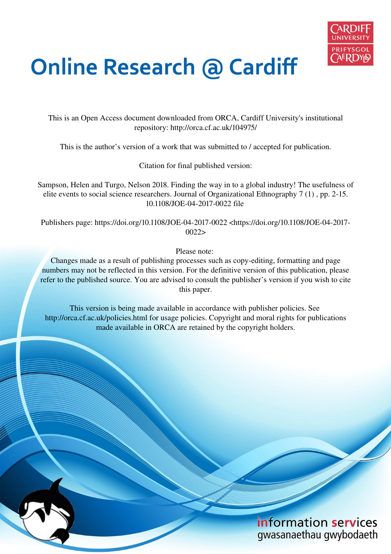

# **Online Research @ Cardiff**

This is an Open Access document downloaded from ORCA, Cardiff University's institutional repository: http://orca.cf.ac.uk/104975/

This is the author's version of a work that was submitted to / accepted for publication.

Citation for final published version:

Sampson, Helen and Turgo, Nelson 2018. Finding the way in to a global industry! The usefulness of elite events to social science researchers. Journal of Organizational Ethnography 7 (1) , pp. 2-15. 10.1108/JOE-04-2017-0022 file

Publishers page: https://doi.org/10.1108/JOE-04-2017-0022 <https://doi.org/10.1108/JOE-04-2017- 0022>

Please note:

Changes made as a result of publishing processes such as copy-editing, formatting and page numbers may not be reflected in this version. For the definitive version of this publication, please refer to the published source. You are advised to consult the publisher's version if you wish to cite this paper.

This version is being made available in accordance with publisher policies. See http://orca.cf.ac.uk/policies.html for usage policies. Copyright and moral rights for publications made available in ORCA are retained by the copyright holders.

# information services gwasanaethau gwybodaeth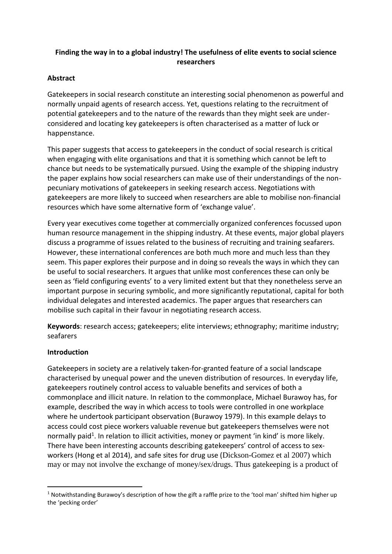# **Finding the way in to a global industry! The usefulness of elite events to social science researchers**

#### **Abstract**

Gatekeepers in social research constitute an interesting social phenomenon as powerful and normally unpaid agents of research access. Yet, questions relating to the recruitment of potential gatekeepers and to the nature of the rewards than they might seek are underconsidered and locating key gatekeepers is often characterised as a matter of luck or happenstance.

This paper suggests that access to gatekeepers in the conduct of social research is critical when engaging with elite organisations and that it is something which cannot be left to chance but needs to be systematically pursued. Using the example of the shipping industry the paper explains how social researchers can make use of their understandings of the nonpecuniary motivations of gatekeepers in seeking research access. Negotiations with gatekeepers are more likely to succeed when researchers are able to mobilise non-financial resources which have some alternative form of 'exchange value'.

Every year executives come together at commercially organized conferences focussed upon human resource management in the shipping industry. At these events, major global players discuss a programme of issues related to the business of recruiting and training seafarers. However, these international conferences are both much more and much less than they seem. This paper explores their purpose and in doing so reveals the ways in which they can be useful to social researchers. It argues that unlike most conferences these can only be seen as 'field configuring events' to a very limited extent but that they nonetheless serve an important purpose in securing symbolic, and more significantly reputational, capital for both individual delegates and interested academics. The paper argues that researchers can mobilise such capital in their favour in negotiating research access.

**Keywords**: research access; gatekeepers; elite interviews; ethnography; maritime industry; seafarers

#### **Introduction**

.

Gatekeepers in society are a relatively taken-for-granted feature of a social landscape characterised by unequal power and the uneven distribution of resources. In everyday life, gatekeepers routinely control access to valuable benefits and services of both a commonplace and illicit nature. In relation to the commonplace, Michael Burawoy has, for example, described the way in which access to tools were controlled in one workplace where he undertook participant observation (Burawoy 1979). In this example delays to access could cost piece workers valuable revenue but gatekeepers themselves were not normally paid<sup>1</sup>. In relation to illicit activities, money or payment 'in kind' is more likely. There have been interesting accounts describing gatekeepers' control of access to sexworkers (Hong et al 2014), and safe sites for drug use (Dickson-Gomez et al 2007) which may or may not involve the exchange of money/sex/drugs. Thus gatekeeping is a product of

 $1$  Notwithstanding Burawoy's description of how the gift a raffle prize to the 'tool man' shifted him higher up the 'pecking order'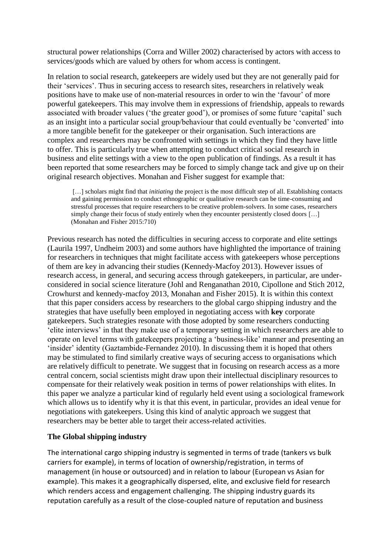structural power relationships (Corra and Willer 2002) characterised by actors with access to services/goods which are valued by others for whom access is contingent.

In relation to social research, gatekeepers are widely used but they are not generally paid for their 'services'. Thus in securing access to research sites, researchers in relatively weak positions have to make use of non-material resources in order to win the 'favour' of more powerful gatekeepers. This may involve them in expressions of friendship, appeals to rewards associated with broader values ('the greater good'), or promises of some future 'capital' such as an insight into a particular social group/behaviour that could eventually be 'converted' into a more tangible benefit for the gatekeeper or their organisation. Such interactions are complex and researchers may be confronted with settings in which they find they have little to offer. This is particularly true when attempting to conduct critical social research in business and elite settings with a view to the open publication of findings. As a result it has been reported that some researchers may be forced to simply change tack and give up on their original research objectives. Monahan and Fisher suggest for example that:

[...] scholars might find that *initiating* the project is the most difficult step of all. Establishing contacts and gaining permission to conduct ethnographic or qualitative research can be time-consuming and stressful processes that require researchers to be creative problem-solvers. In some cases, researchers simply change their focus of study entirely when they encounter persistently closed doors [...] (Monahan and Fisher 2015:710)

Previous research has noted the difficulties in securing access to corporate and elite settings (Laurila 1997, Undheim 2003) and some authors have highlighted the importance of training for researchers in techniques that might facilitate access with gatekeepers whose perceptions of them are key in advancing their studies (Kennedy-Macfoy 2013). However issues of research access, in general, and securing access through gatekeepers, in particular, are underconsidered in social science literature (Johl and Renganathan 2010, Cipollone and Stich 2012, Crowhurst and kennedy-macfoy 2013, Monahan and Fisher 2015). It is within this context that this paper considers access by researchers to the global cargo shipping industry and the strategies that have usefully been employed in negotiating access with **key** corporate gatekeepers. Such strategies resonate with those adopted by some researchers conducting 'elite interviews' in that they make use of a temporary setting in which researchers are able to operate on level terms with gatekeepers projecting a 'business-like' manner and presenting an 'insider' identity (Gaztambide-Fernandez 2010). In discussing them it is hoped that others may be stimulated to find similarly creative ways of securing access to organisations which are relatively difficult to penetrate. We suggest that in focusing on research access as a more central concern, social scientists might draw upon their intellectual disciplinary resources to compensate for their relatively weak position in terms of power relationships with elites. In this paper we analyze a particular kind of regularly held event using a sociological framework which allows us to identify why it is that this event, in particular, provides an ideal venue for negotiations with gatekeepers. Using this kind of analytic approach we suggest that researchers may be better able to target their access-related activities.

# **The Global shipping industry**

The international cargo shipping industry is segmented in terms of trade (tankers vs bulk carriers for example), in terms of location of ownership/registration, in terms of management (in house or outsourced) and in relation to labour (European vs Asian for example). This makes it a geographically dispersed, elite, and exclusive field for research which renders access and engagement challenging. The shipping industry guards its reputation carefully as a result of the close-coupled nature of reputation and business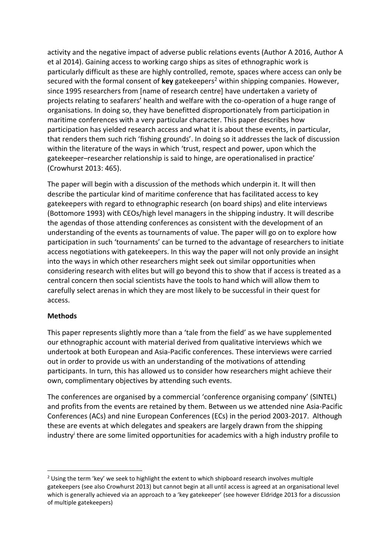activity and the negative impact of adverse public relations events (Author A 2016, Author A et al 2014). Gaining access to working cargo ships as sites of ethnographic work is particularly difficult as these are highly controlled, remote, spaces where access can only be secured with the formal consent of key gatekeepers<sup>2</sup> within shipping companies. However, since 1995 researchers from [name of research centre] have undertaken a variety of projects relating to seafarers' health and welfare with the co-operation of a huge range of organisations. In doing so, they have benefitted disproportionately from participation in maritime conferences with a very particular character. This paper describes how participation has vielded research access and what it is about these events, in particular, that renders them such rich 'fishing grounds'. In doing so it addresses the lack of discussion within the literature of the ways in which 'trust, respect and power, upon which the gatekeeper-researcher relationship is said to hinge, are operationalised in practice' (Crowhurst 2013: 465).

The paper will begin with a discussion of the methods which underpin it. It will then describe the particular kind of maritime conference that has facilitated access to key gatekeepers with regard to ethnographic research (on board ships) and elite interviews (Bottomore 1993) with CEOs/high level managers in the shipping industry. It will describe the agendas of those attending conferences as consistent with the development of an understanding of the events as tournaments of value. The paper will go on to explore how participation in such 'tournaments' can be turned to the advantage of researchers to initiate access negotiations with gatekeepers. In this way the paper will not only provide an insight into the ways in which other researchers might seek out similar opportunities when considering research with elites but will go beyond this to show that if access is treated as a central concern then social scientists have the tools to hand which will allow them to carefully select arenas in which they are most likely to be successful in their quest for access.

#### **Methods**

This paper represents slightly more than a 'tale from the field' as we have supplemented our ethnographic account with material derived from qualitative interviews which we undertook at both European and Asia-Pacific conferences. These interviews were carried out in order to provide us with an understanding of the motivations of attending participants. In turn, this has allowed us to consider how researchers might achieve their own, complimentary objectives by attending such events.

The conferences are organised by a commercial 'conference organising company' (SINTEL) and profits from the events are retained by them. Between us we attended nine Asia-Pacific Conferences (ACs) and nine European Conferences (ECs) in the period 2003-2017. Although these are events at which delegates and speakers are largely drawn from the shipping industry there are some limited opportunities for academics with a high industry profile to

<sup>&</sup>lt;sup>2</sup> Using the term 'key' we seek to highlight the extent to which shipboard research involves multiple gatekeepers (see also Crowhurst 2013) but cannot begin at all until access is agreed at an organisational level which is generally achieved via an approach to a 'key gatekeeper' (see however Eldridge 2013 for a discussion of multiple gatekeepers)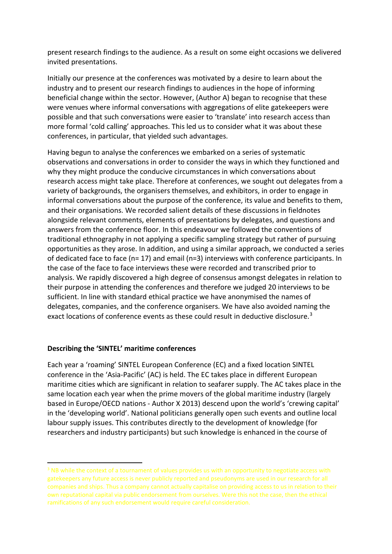present research findings to the audience. As a result on some eight occasions we delivered invited presentations.

Initially our presence at the conferences was motivated by a desire to learn about the industry and to present our research findings to audiences in the hope of informing beneficial change within the sector. However, (Author A) began to recognise that these were venues where informal conversations with aggregations of elite gatekeepers were possible and that such conversations were easier to 'translate' into research access than more formal 'cold calling' approaches. This led us to consider what it was about these conferences, in particular, that yielded such advantages.

Having begun to analyse the conferences we embarked on a series of systematic observations and conversations in order to consider the ways in which they functioned and why they might produce the conducive circumstances in which conversations about research access might take place. Therefore at conferences, we sought out delegates from a variety of backgrounds, the organisers themselves, and exhibitors, in order to engage in informal conversations about the purpose of the conference, its value and benefits to them, and their organisations. We recorded salient details of these discussions in fieldnotes alongside relevant comments, elements of presentations by delegates, and questions and answers from the conference floor. In this endeavour we followed the conventions of traditional ethnography in not applying a specific sampling strategy but rather of pursuing opportunities as they arose. In addition, and using a similar approach, we conducted a series of dedicated face to face (n= 17) and email (n=3) interviews with conference participants. In the case of the face to face interviews these were recorded and transcribed prior to analysis. We rapidly discovered a high degree of consensus amongst delegates in relation to their purpose in attending the conferences and therefore we judged 20 interviews to be sufficient. In line with standard ethical practice we have anonymised the names of delegates, companies, and the conference organisers. We have also avoided naming the exact locations of conference events as these could result in deductive disclosure.<sup>3</sup>

# Describing the 'SINTEL' maritime conferences

Each year a 'roaming' SINTEL European Conference (EC) and a fixed location SINTEL conference in the 'Asia-Pacific' (AC) is held. The EC takes place in different European maritime cities which are significant in relation to seafarer supply. The AC takes place in the same location each year when the prime movers of the global maritime industry (largely based in Europe/OECD nations - Author X 2013) descend upon the world's 'crewing capital' in the 'developing world'. National politicians generally open such events and outline local labour supply issues. This contributes directly to the development of knowledge (for researchers and industry participants) but such knowledge is enhanced in the course of

<sup>&</sup>lt;sup>3</sup> NB while the context of a tournament of values provides us with an opportunity to negotiate access with gatekeepers any future access is never publicly reported and pseudonyms are used in our research for all companies and ships. Thus a company cannot actually capitalise on providing access to us in relation to their own reputational capital via public endorsement from ourselves. Were this not the case, then the ethical ramifications of any such endorsement would require careful consideration.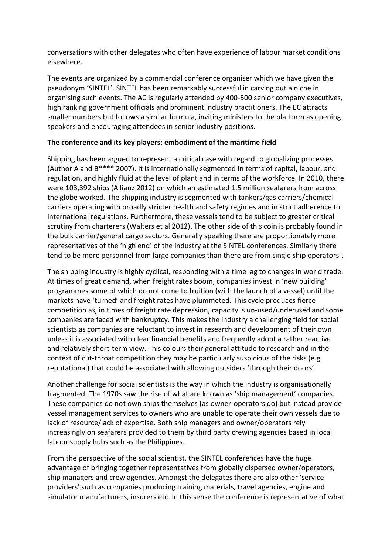conversations with other delegates who often have experience of labour market conditions elsewhere.

The events are organized by a commercial conference organiser which we have given the pseudonym 'SINTEL'. SINTEL has been remarkably successful in carving out a niche in organising such events. The AC is regularly attended by 400-500 senior company executives, high ranking government officials and prominent industry practitioners. The EC attracts smaller numbers but follows a similar formula, inviting ministers to the platform as opening speakers and encouraging attendees in senior industry positions.

# **The conference and its key players: embodiment of the maritime field**

Shipping has been argued to represent a critical case with regard to globalizing processes (Author A and B\*\*\*\* 2007). It is internationally segmented in terms of capital, labour, and regulation, and highly fluid at the level of plant and in terms of the workforce. In 2010, there were 103,392 ships (Allianz 2012) on which an estimated 1.5 million seafarers from across the globe worked. The shipping industry is segmented with tankers/gas carriers/chemical carriers operating with broadly stricter health and safety regimes and in strict adherence to international regulations. Furthermore, these vessels tend to be subject to greater critical scrutiny from charterers (Walters et al 2012). The other side of this coin is probably found in the bulk carrier/general cargo sectors. Generally speaking there are proportionately more representatives of the 'high end' of the industry at the SINTEL conferences. Similarly there tend to be more personnel from large companies than there are from single ship operators<sup>ii</sup>.

The shipping industry is highly cyclical, responding with a time lag to changes in world trade. At times of great demand, when freight rates boom, companies invest in 'new building' programmes some of which do not come to fruition (with the launch of a vessel) until the markets have 'turned' and freight rates have plummeted. This cycle produces fierce competition as, in times of freight rate depression, capacity is un-used/underused and some companies are faced with bankruptcy. This makes the industry a challenging field for social scientists as companies are reluctant to invest in research and development of their own unless it is associated with clear financial benefits and frequently adopt a rather reactive and relatively short-term view. This colours their general attitude to research and in the context of cut-throat competition they may be particularly suspicious of the risks (e.g. reputational) that could be associated with allowing outsiders 'through their doors'.

Another challenge for social scientists is the way in which the industry is organisationally fragmented. The 1970s saw the rise of what are known as 'ship management' companies. These companies do not own ships themselves (as owner-operators do) but instead provide vessel management services to owners who are unable to operate their own vessels due to lack of resource/lack of expertise. Both ship managers and owner/operators rely increasingly on seafarers provided to them by third party crewing agencies based in local labour supply hubs such as the Philippines.

From the perspective of the social scientist, the SINTEL conferences have the huge advantage of bringing together representatives from globally dispersed owner/operators, ship managers and crew agencies. Amongst the delegates there are also other 'service providers' such as companies producing training materials, travel agencies, engine and simulator manufacturers, insurers etc. In this sense the conference is representative of what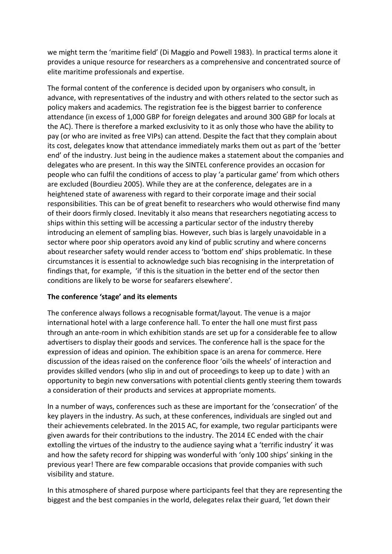we might term the 'maritime field' (Di Maggio and Powell 1983). In practical terms alone it provides a unique resource for researchers as a comprehensive and concentrated source of elite maritime professionals and expertise.

The formal content of the conference is decided upon by organisers who consult, in advance, with representatives of the industry and with others related to the sector such as policy makers and academics. The registration fee is the biggest barrier to conference attendance (in excess of 1,000 GBP for foreign delegates and around 300 GBP for locals at the AC). There is therefore a marked exclusivity to it as only those who have the ability to pay (or who are invited as free VIPs) can attend. Despite the fact that they complain about its cost, delegates know that attendance immediately marks them out as part of the 'better end' of the industry. Just being in the audience makes a statement about the companies and delegates who are present. In this way the SINTEL conference provides an occasion for people who can fulfil the conditions of access to play 'a particular game' from which others are excluded (Bourdieu 2005). While they are at the conference, delegates are in a heightened state of awareness with regard to their corporate image and their social responsibilities. This can be of great benefit to researchers who would otherwise find many of their doors firmly closed. Inevitably it also means that researchers negotiating access to ships within this setting will be accessing a particular sector of the industry thereby introducing an element of sampling bias. However, such bias is largely unavoidable in a sector where poor ship operators avoid any kind of public scrutiny and where concerns about researcher safety would render access to 'bottom end' ships problematic. In these circumstances it is essential to acknowledge such bias recognising in the interpretation of findings that, for example, 'if this is the situation in the better end of the sector then conditions are likely to be worse for seafarers elsewhere'.

# The conference 'stage' and its elements

The conference always follows a recognisable format/layout. The venue is a major international hotel with a large conference hall. To enter the hall one must first pass through an ante-room in which exhibition stands are set up for a considerable fee to allow advertisers to display their goods and services. The conference hall is the space for the expression of ideas and opinion. The exhibition space is an arena for commerce. Here discussion of the ideas raised on the conference floor 'oils the wheels' of interaction and provides skilled vendors (who slip in and out of proceedings to keep up to date) with an opportunity to begin new conversations with potential clients gently steering them towards a consideration of their products and services at appropriate moments.

In a number of ways, conferences such as these are important for the 'consecration' of the key players in the industry. As such, at these conferences, individuals are singled out and their achievements celebrated. In the 2015 AC, for example, two regular participants were given awards for their contributions to the industry. The 2014 EC ended with the chair extolling the virtues of the industry to the audience saying what a 'terrific industry' it was and how the safety record for shipping was wonderful with 'only 100 ships' sinking in the previous year! There are few comparable occasions that provide companies with such visibility and stature.

In this atmosphere of shared purpose where participants feel that they are representing the biggest and the best companies in the world, delegates relax their guard, 'let down their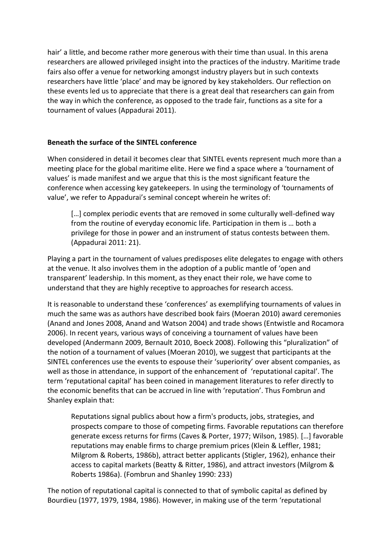hair' a little, and become rather more generous with their time than usual. In this arena researchers are allowed privileged insight into the practices of the industry. Maritime trade fairs also offer a venue for networking amongst industry players but in such contexts researchers have little 'place' and may be ignored by key stakeholders. Our reflection on these events led us to appreciate that there is a great deal that researchers can gain from the way in which the conference, as opposed to the trade fair, functions as a site for a tournament of values (Appadurai 2011).

# Beneath the surface of the SINTEL conference

When considered in detail it becomes clear that SINTEL events represent much more than a meeting place for the global maritime elite. Here we find a space where a 'tournament of values' is made manifest and we argue that this is the most significant feature the conference when accessing key gatekeepers. In using the terminology of 'tournaments of value', we refer to Appadurai's seminal concept wherein he writes of:

[...] complex periodic events that are removed in some culturally well-defined way from the routine of everyday economic life. Participation in them is ... both a privilege for those in power and an instrument of status contests between them. (Appadurai 2011: 21).

Playing a part in the tournament of values predisposes elite delegates to engage with others at the venue. It also involves them in the adoption of a public mantle of 'open and transparent' leadership. In this moment, as they enact their role, we have come to understand that they are highly receptive to approaches for research access.

It is reasonable to understand these 'conferences' as exemplifying tournaments of values in much the same was as authors have described book fairs (Moeran 2010) award ceremonies (Anand and Jones 2008, Anand and Watson 2004) and trade shows (Entwistle and Rocamora 2006). In recent years, various ways of conceiving a tournament of values have been developed (Andermann 2009, Bernault 2010, Boeck 2008). Following this "pluralization" of the notion of a tournament of values (Moeran 2010), we suggest that participants at the SINTEL conferences use the events to espouse their 'superiority' over absent companies, as well as those in attendance, in support of the enhancement of 'reputational capital'. The term 'reputational capital' has been coined in management literatures to refer directly to the economic benefits that can be accrued in line with 'reputation'. Thus Fombrun and Shanley explain that:

Reputations signal publics about how a firm's products, jobs, strategies, and prospects compare to those of competing firms. Favorable reputations can therefore generate excess returns for firms (Caves & Porter, 1977; Wilson, 1985). [...] favorable reputations may enable firms to charge premium prices (Klein & Leffler, 1981; Milgrom & Roberts, 1986b), attract better applicants (Stigler, 1962), enhance their access to capital markets (Beatty & Ritter, 1986), and attract investors (Milgrom & Roberts 1986a). (Fombrun and Shanley 1990: 233)

The notion of reputational capital is connected to that of symbolic capital as defined by Bourdieu (1977, 1979, 1984, 1986). However, in making use of the term 'reputational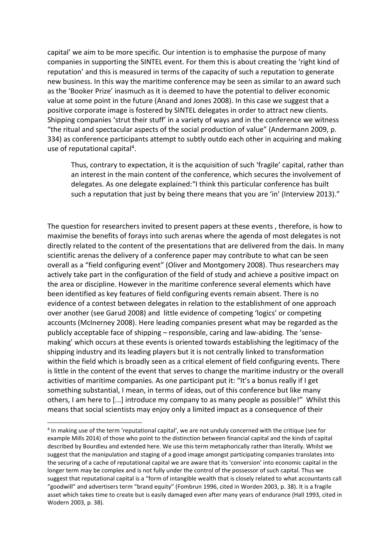capital' we aim to be more specific. Our intention is to emphasise the purpose of many companies in supporting the SINTEL event. For them this is about creating the 'right kind of reputation' and this is measured in terms of the capacity of such a reputation to generate new business. In this way the maritime conference may be seen as similar to an award such as the 'Booker Prize' inasmuch as it is deemed to have the potential to deliver economic value at some point in the future (Anand and Jones 2008). In this case we suggest that a positive corporate image is fostered by SINTEL delegates in order to attract new clients. Shipping companies 'strut their stuff' in a variety of ways and in the conference we witness "the ritual and spectacular aspects of the social production of value" (Andermann 2009, p. 334) as conference participants attempt to subtly outdo each other in acquiring and making use of reputational capital<sup>4</sup>.

Thus, contrary to expectation, it is the acquisition of such 'fragile' capital, rather than an interest in the main content of the conference, which secures the involvement of delegates. As one delegate explained: "I think this particular conference has built such a reputation that just by being there means that you are 'in' (Interview 2013)."

The question for researchers invited to present papers at these events, therefore, is how to maximise the benefits of forays into such arenas where the agenda of most delegates is not directly related to the content of the presentations that are delivered from the dais. In many scientific arenas the delivery of a conference paper may contribute to what can be seen overall as a "field configuring event" (Oliver and Montgomery 2008). Thus researchers may actively take part in the configuration of the field of study and achieve a positive impact on the area or discipline. However in the maritime conference several elements which have been identified as key features of field configuring events remain absent. There is no evidence of a contest between delegates in relation to the establishment of one approach over another (see Garud 2008) and little evidence of competing 'logics' or competing accounts (McInerney 2008). Here leading companies present what may be regarded as the publicly acceptable face of shipping – responsible, caring and law-abiding. The 'sensemaking' which occurs at these events is oriented towards establishing the legitimacy of the shipping industry and its leading players but it is not centrally linked to transformation within the field which is broadly seen as a critical element of field configuring events. There is little in the content of the event that serves to change the maritime industry or the overall activities of maritime companies. As one participant put it: "It's a bonus really if I get something substantial, I mean, in terms of ideas, out of this conference but like many others, I am here to [...] introduce my company to as many people as possible!" Whilst this means that social scientists may enjoy only a limited impact as a consequence of their

<sup>&</sup>lt;sup>4</sup> In making use of the term 'reputational capital', we are not unduly concerned with the critique (see for example Mills 2014) of those who point to the distinction between financial capital and the kinds of capital described by Bourdieu and extended here. We use this term metaphorically rather than literally. Whilst we suggest that the manipulation and staging of a good image amongst participating companies translates into the securing of a cache of reputational capital we are aware that its 'conversion' into economic capital in the longer term may be complex and is not fully under the control of the possessor of such capital. Thus we suggest that reputational capital is a "form of intangible wealth that is closely related to what accountants call "goodwill" and advertisers term "brand equity" (Fombrun 1996, cited in Worden 2003, p. 38). It is a fragile asset which takes time to create but is easily damaged even after many years of endurance (Hall 1993, cited in Wodern 2003, p. 38).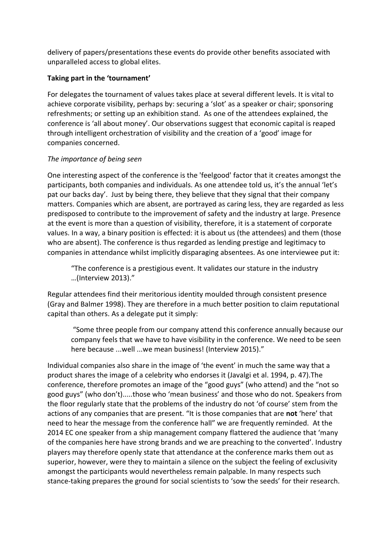delivery of papers/presentations these events do provide other benefits associated with unparalleled access to global elites.

#### Taking part in the 'tournament'

For delegates the tournament of values takes place at several different levels. It is vital to achieve corporate visibility, perhaps by: securing a 'slot' as a speaker or chair; sponsoring refreshments; or setting up an exhibition stand. As one of the attendees explained, the conference is 'all about money'. Our observations suggest that economic capital is reaped through intelligent orchestration of visibility and the creation of a 'good' image for companies concerned.

# The importance of being seen

One interesting aspect of the conference is the 'feelgood' factor that it creates amongst the participants, both companies and individuals. As one attendee told us, it's the annual 'let's pat our backs day'. Just by being there, they believe that they signal that their company matters. Companies which are absent, are portrayed as caring less, they are regarded as less predisposed to contribute to the improvement of safety and the industry at large. Presence at the event is more than a question of visibility, therefore, it is a statement of corporate values. In a way, a binary position is effected: it is about us (the attendees) and them (those who are absent). The conference is thus regarded as lending prestige and legitimacy to companies in attendance whilst implicitly disparaging absentees. As one interviewee put it:

"The conference is a prestigious event. It validates our stature in the industry ...(Interview 2013)."

Regular attendees find their meritorious identity moulded through consistent presence (Gray and Balmer 1998). They are therefore in a much better position to claim reputational capital than others. As a delegate put it simply:

"Some three people from our company attend this conference annually because our company feels that we have to have visibility in the conference. We need to be seen here because ... well ... we mean business! (Interview 2015)."

Individual companies also share in the image of 'the event' in much the same way that a product shares the image of a celebrity who endorses it (Javalgi et al. 1994, p. 47). The conference, therefore promotes an image of the "good guys" (who attend) and the "not so good guys" (who don't).....those who 'mean business' and those who do not. Speakers from the floor regularly state that the problems of the industry do not 'of course' stem from the actions of any companies that are present. "It is those companies that are not 'here' that need to hear the message from the conference hall" we are frequently reminded. At the 2014 EC one speaker from a ship management company flattered the audience that 'many of the companies here have strong brands and we are preaching to the converted'. Industry players may therefore openly state that attendance at the conference marks them out as superior, however, were they to maintain a silence on the subject the feeling of exclusivity amongst the participants would nevertheless remain palpable. In many respects such stance-taking prepares the ground for social scientists to 'sow the seeds' for their research.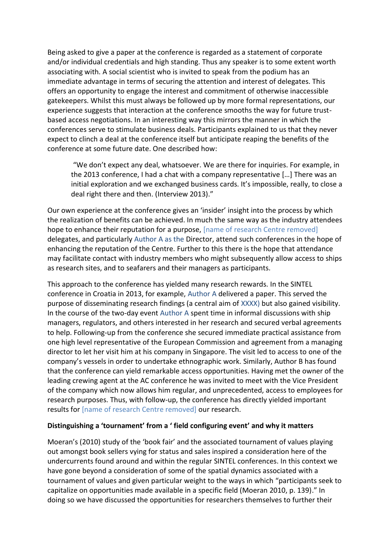Being asked to give a paper at the conference is regarded as a statement of corporate and/or individual credentials and high standing. Thus any speaker is to some extent worth associating with. A social scientist who is invited to speak from the podium has an immediate advantage in terms of securing the attention and interest of delegates. This offers an opportunity to engage the interest and commitment of otherwise inaccessible gatekeepers. Whilst this must always be followed up by more formal representations, our experience suggests that interaction at the conference smooths the way for future trustbased access negotiations. In an interesting way this mirrors the manner in which the conferences serve to stimulate business deals. Participants explained to us that they never expect to clinch a deal at the conference itself but anticipate reaping the benefits of the conference at some future date. One described how:

"We don't expect any deal, whatsoever. We are there for inquiries. For example, in the 2013 conference, I had a chat with a company representative [...] There was an initial exploration and we exchanged business cards. It's impossible, really, to close a deal right there and then. (Interview 2013)."

Our own experience at the conference gives an 'insider' insight into the process by which the realization of benefits can be achieved. In much the same way as the industry attendees hope to enhance their reputation for a purpose, [name of research Centre removed] delegates, and particularly Author A as the Director, attend such conferences in the hope of enhancing the reputation of the Centre. Further to this there is the hope that attendance may facilitate contact with industry members who might subsequently allow access to ships as research sites, and to seafarers and their managers as participants.

This approach to the conference has yielded many research rewards. In the SINTEL conference in Croatia in 2013, for example, Author A delivered a paper. This served the purpose of disseminating research findings (a central aim of XXXX) but also gained visibility. In the course of the two-day event Author A spent time in informal discussions with ship managers, regulators, and others interested in her research and secured verbal agreements to help. Following-up from the conference she secured immediate practical assistance from one high level representative of the European Commission and agreement from a managing director to let her visit him at his company in Singapore. The visit led to access to one of the company's vessels in order to undertake ethnographic work. Similarly, Author B has found that the conference can yield remarkable access opportunities. Having met the owner of the leading crewing agent at the AC conference he was invited to meet with the Vice President of the company which now allows him regular, and unprecedented, access to employees for research purposes. Thus, with follow-up, the conference has directly yielded important results for [name of research Centre removed] our research.

#### Distinguishing a 'tournament' from a ' field configuring event' and why it matters

Moeran's (2010) study of the 'book fair' and the associated tournament of values playing out amongst book sellers vying for status and sales inspired a consideration here of the undercurrents found around and within the regular SINTEL conferences. In this context we have gone beyond a consideration of some of the spatial dynamics associated with a tournament of values and given particular weight to the ways in which "participants seek to capitalize on opportunities made available in a specific field (Moeran 2010, p. 139)." In doing so we have discussed the opportunities for researchers themselves to further their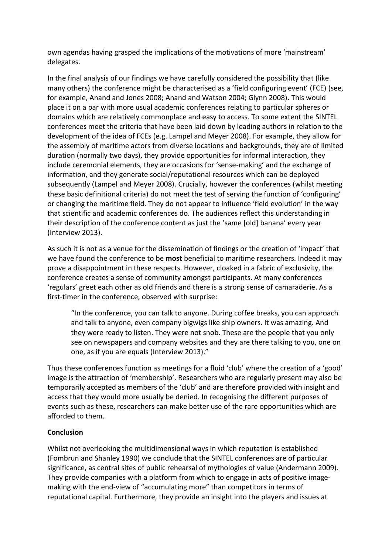own agendas having grasped the implications of the motivations of more 'mainstream' delegates.

In the final analysis of our findings we have carefully considered the possibility that (like many others) the conference might be characterised as a 'field configuring event' (FCE) (see, for example, Anand and Jones 2008; Anand and Watson 2004; Glynn 2008). This would place it on a par with more usual academic conferences relating to particular spheres or domains which are relatively commonplace and easy to access. To some extent the SINTEL conferences meet the criteria that have been laid down by leading authors in relation to the development of the idea of FCEs (e.g. Lampel and Meyer 2008). For example, they allow for the assembly of maritime actors from diverse locations and backgrounds, they are of limited duration (normally two days), they provide opportunities for informal interaction, they include ceremonial elements, they are occasions for 'sense-making' and the exchange of information, and they generate social/reputational resources which can be deployed subsequently (Lampel and Meyer 2008). Crucially, however the conferences (whilst meeting these basic definitional criteria) do not meet the test of serving the function of 'configuring' or changing the maritime field. They do not appear to influence 'field evolution' in the way that scientific and academic conferences do. The audiences reflect this understanding in their description of the conference content as just the 'same [old] banana' every year (Interview 2013).

As such it is not as a venue for the dissemination of findings or the creation of 'impact' that we have found the conference to be **most** beneficial to maritime researchers. Indeed it may prove a disappointment in these respects. However, cloaked in a fabric of exclusivity, the conference creates a sense of community amongst participants. At many conferences 'regulars' greet each other as old friends and there is a strong sense of camaraderie. As a first-timer in the conference, observed with surprise:

"In the conference, you can talk to anyone. During coffee breaks, you can approach and talk to anyone, even company bigwigs like ship owners. It was amazing. And they were ready to listen. They were not snob. These are the people that you only see on newspapers and company websites and they are there talking to you, one on one, as if you are equals (Interview 2013)."

Thus these conferences function as meetings for a fluid 'club' where the creation of a 'good' image is the attraction of 'membership'. Researchers who are regularly present may also be temporarily accepted as members of the 'club' and are therefore provided with insight and access that they would more usually be denied. In recognising the different purposes of events such as these, researchers can make better use of the rare opportunities which are afforded to them.

# **Conclusion**

Whilst not overlooking the multidimensional ways in which reputation is established (Fombrun and Shanley 1990) we conclude that the SINTEL conferences are of particular significance, as central sites of public rehearsal of mythologies of value (Andermann 2009). They provide companies with a platform from which to engage in acts of positive imagemaking with the end-view of "accumulating more" than competitors in terms of reputational capital. Furthermore, they provide an insight into the players and issues at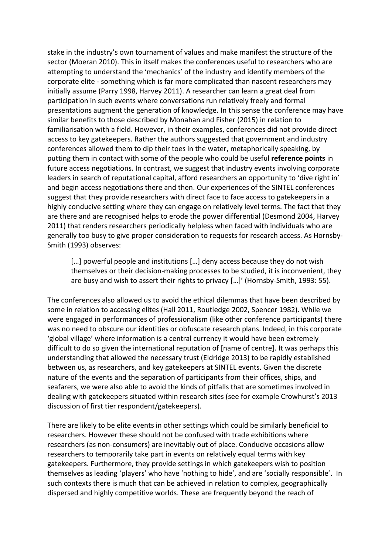stake in the industry's own tournament of values and make manifest the structure of the sector (Moeran 2010). This in itself makes the conferences useful to researchers who are attempting to understand the 'mechanics' of the industry and identify members of the corporate elite - something which is far more complicated than nascent researchers may initially assume (Parry 1998, Harvey 2011). A researcher can learn a great deal from participation in such events where conversations run relatively freely and formal presentations augment the generation of knowledge. In this sense the conference may have similar benefits to those described by Monahan and Fisher (2015) in relation to familiarisation with a field. However, in their examples, conferences did not provide direct access to key gatekeepers. Rather the authors suggested that government and industry conferences allowed them to dip their toes in the water, metaphorically speaking, by putting them in contact with some of the people who could be useful **reference points** in future access negotiations. In contrast, we suggest that industry events involving corporate leaders in search of reputational capital, afford researchers an opportunity to 'dive right in' and begin access negotiations there and then. Our experiences of the SINTEL conferences suggest that they provide researchers with direct face to face access to gatekeepers in a highly conducive setting where they can engage on relatively level terms. The fact that they are there and are recognised helps to erode the power differential (Desmond 2004, Harvey 2011) that renders researchers periodically helpless when faced with individuals who are generally too busy to give proper consideration to requests for research access. As Hornsby-Smith (1993) observes:

[...] powerful people and institutions [...] deny access because they do not wish themselves or their decision-making processes to be studied, it is inconvenient, they are busy and wish to assert their rights to privacy [...]' (Hornsby-Smith, 1993: 55).

The conferences also allowed us to avoid the ethical dilemmas that have been described by some in relation to accessing elites (Hall 2011, Routledge 2002, Spencer 1982). While we were engaged in performances of professionalism (like other conference participants) there was no need to obscure our identities or obfuscate research plans. Indeed, in this corporate ͚gloďal ǀillage͛ where information is a central currency it would have been extremely difficult to do so given the international reputation of [name of centre]. It was perhaps this understanding that allowed the necessary trust (Eldridge 2013) to be rapidly established between us, as researchers, and key gatekeepers at SINTEL events. Given the discrete nature of the events and the separation of participants from their offices, ships, and seafarers, we were also able to avoid the kinds of pitfalls that are sometimes involved in dealing with gatekeepers situated within research sites (see for example Crowhurst's 2013 discussion of first tier respondent/gatekeepers).

There are likely to be elite events in other settings which could be similarly beneficial to researchers. However these should not be confused with trade exhibitions where researchers (as non-consumers) are inevitably out of place. Conducive occasions allow researchers to temporarily take part in events on relatively equal terms with key gatekeepers. Furthermore, they provide settings in which gatekeepers wish to position themselves as leading 'players' who have 'nothing to hide', and are 'socially responsible'. In such contexts there is much that can be achieved in relation to complex, geographically dispersed and highly competitive worlds. These are frequently beyond the reach of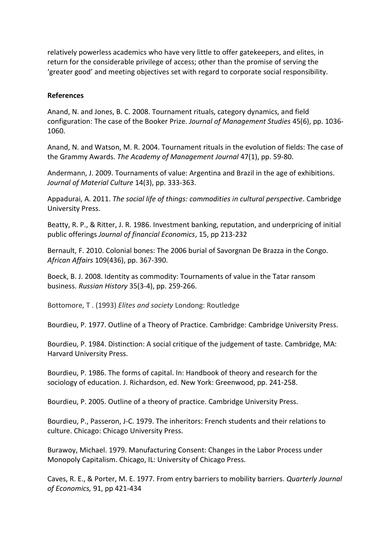relatively powerless academics who have very little to offer gatekeepers, and elites, in return for the considerable privilege of access; other than the promise of serving the 'greater good' and meeting objectives set with regard to corporate social responsibility.

#### **References**

Anand, N. and Jones, B. C. 2008. Tournament rituals, category dynamics, and field configuration: The case of the Booker Prize. *Journal of Management Studies* 45(6), pp. 1036- 1060.

Anand, N. and Watson, M. R. 2004. Tournament rituals in the evolution of fields: The case of the Grammy Awards. *The Academy of Management Journal* 47(1), pp. 59-80.

Andermann, J. 2009. Tournaments of value: Argentina and Brazil in the age of exhibitions. *Journal of Material Culture* 14(3), pp. 333-363.

Appadurai, A. 2011. *The social life of things: commodities in cultural perspective*. Cambridge University Press.

Beatty, R. P., & Ritter, J. R. 1986. Investment banking, reputation, and underpricing of initial public offerings *Journal of financial Economics*, 15, pp 213-232

Bernault, F. 2010. Colonial bones: The 2006 burial of Savorgnan De Brazza in the Congo. *African Affairs* 109(436), pp. 367-390.

Boeck, B. J. 2008. Identity as commodity: Tournaments of value in the Tatar ransom business. *Russian History* 35(3-4), pp. 259-266.

Bottomore, T . (1993) *Elites and society* Londong: Routledge

Bourdieu, P. 1977. Outline of a Theory of Practice. Cambridge: Cambridge University Press.

Bourdieu, P. 1984. Distinction: A social critique of the judgement of taste. Cambridge, MA: Harvard University Press.

Bourdieu, P. 1986. The forms of capital. In: Handbook of theory and research for the sociology of education. J. Richardson, ed. New York: Greenwood, pp. 241-258.

Bourdieu, P. 2005. Outline of a theory of practice. Cambridge University Press.

Bourdieu, P., Passeron, J-C. 1979. The inheritors: French students and their relations to culture. Chicago: Chicago University Press.

Burawoy, Michael. 1979. Manufacturing Consent: Changes in the Labor Process under Monopoly Capitalism. Chicago, IL: University of Chicago Press.

Caves, R. E., & Porter, M. E. 1977. From entry barriers to mobility barriers. *Quarterly Journal of Economics,* 91, pp 421-434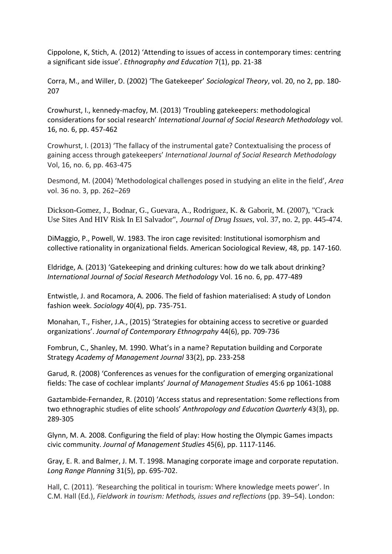Cippolone, K, Stich, A. (2012) 'Attending to issues of access in contemporary times: centring a significant side issue'. Ethnography and Education 7(1), pp. 21-38

Corra, M., and Willer, D. (2002) 'The Gatekeeper' Sociological Theory, vol. 20, no 2, pp. 180-207

Crowhurst, I., kennedy-macfoy, M. (2013) 'Troubling gatekeepers: methodological considerations for social research' International Journal of Social Research Methodology vol. 16, no. 6, pp. 457-462

Crowhurst, I. (2013) 'The fallacy of the instrumental gate? Contextualising the process of gaining access through gatekeepers' International Journal of Social Research Methodology Vol, 16, no. 6, pp. 463-475

Desmond, M. (2004) 'Methodological challenges posed in studying an elite in the field', Area vol. 36 no. 3, pp. 262-269

Dickson-Gomez, J., Bodnar, G., Guevara, A., Rodriguez, K. & Gaborit, M. (2007), "Crack Use Sites And HIV Risk In El Salvador", *Journal of Drug Issues*, vol. 37, no. 2, pp. 445-474.

DiMaggio, P., Powell, W. 1983. The iron cage revisited: Institutional isomorphism and collective rationality in organizational fields. American Sociological Review, 48, pp. 147-160.

Eldridge, A. (2013) 'Gatekeeping and drinking cultures: how do we talk about drinking? International Journal of Social Research Methodology Vol. 16 no. 6, pp. 477-489

Entwistle, J. and Rocamora, A. 2006. The field of fashion materialised: A study of London fashion week. Sociology 40(4), pp. 735-751.

Monahan, T., Fisher, J.A., (2015) 'Strategies for obtaining access to secretive or guarded organizations'. Journal of Contemporary Ethnogrpahy 44(6), pp. 709-736

Fombrun, C., Shanley, M. 1990. What's in a name? Reputation building and Corporate Strategy Academy of Management Journal 33(2), pp. 233-258

Garud, R. (2008) 'Conferences as venues for the configuration of emerging organizational fields: The case of cochlear implants' Journal of Management Studies 45:6 pp 1061-1088

Gaztambide-Fernandez, R. (2010) 'Access status and representation: Some reflections from two ethnographic studies of elite schools' Anthropology and Education Quarterly 43(3), pp. 289-305

Glynn, M. A. 2008. Configuring the field of play: How hosting the Olympic Games impacts civic community. Journal of Management Studies 45(6), pp. 1117-1146.

Gray, E. R. and Balmer, J. M. T. 1998. Managing corporate image and corporate reputation. Long Range Planning 31(5), pp. 695-702.

Hall, C. (2011). 'Researching the political in tourism: Where knowledge meets power'. In C.M. Hall (Ed.), Fieldwork in tourism: Methods, issues and reflections (pp. 39–54). London: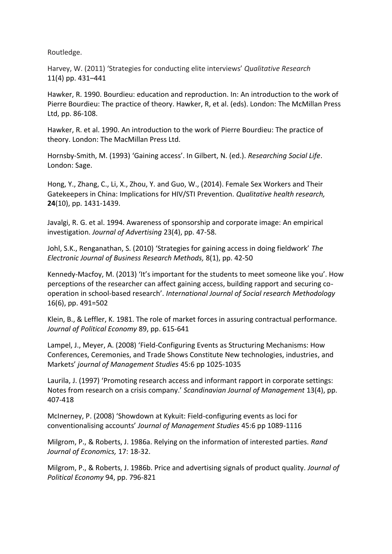Routledge.

Harvey, W. (2011) 'Strategies for conducting elite interviews' Qualitative Research  $11(4)$  pp.  $431 - 441$ 

Hawker, R. 1990. Bourdieu: education and reproduction. In: An introduction to the work of Pierre Bourdieu: The practice of theory. Hawker, R, et al. (eds). London: The McMillan Press Ltd, pp. 86-108.

Hawker, R. et al. 1990. An introduction to the work of Pierre Bourdieu: The practice of theory. London: The MacMillan Press Ltd.

Hornsby-Smith, M. (1993) 'Gaining access'. In Gilbert, N. (ed.). Researching Social Life. London: Sage.

Hong, Y., Zhang, C., Li, X., Zhou, Y. and Guo, W., (2014). Female Sex Workers and Their Gatekeepers in China: Implications for HIV/STI Prevention. Qualitative health research, 24(10), pp. 1431-1439.

Javalgi, R. G. et al. 1994. Awareness of sponsorship and corporate image: An empirical investigation. Journal of Advertising 23(4), pp. 47-58.

Johl, S.K., Renganathan, S. (2010) 'Strategies for gaining access in doing fieldwork' The Electronic Journal of Business Research Methods, 8(1), pp. 42-50

Kennedy-Macfoy, M. (2013) 'It's important for the students to meet someone like you'. How perceptions of the researcher can affect gaining access, building rapport and securing cooperation in school-based research'. International Journal of Social research Methodology 16(6), pp. 491=502

Klein, B., & Leffler, K. 1981. The role of market forces in assuring contractual performance. Journal of Political Economy 89, pp. 615-641

Lampel, J., Meyer, A. (2008) 'Field-Configuring Events as Structuring Mechanisms: How Conferences, Ceremonies, and Trade Shows Constitute New technologies, industries, and Markets' journal of Management Studies 45:6 pp 1025-1035

Laurila, J. (1997) 'Promoting research access and informant rapport in corporate settings: Notes from research on a crisis company.' Scandinavian Journal of Management 13(4), pp. 407-418

McInerney, P. (2008) 'Showdown at Kykuit: Field-configuring events as loci for conventionalising accounts' Journal of Management Studies 45:6 pp 1089-1116

Milgrom, P., & Roberts, J. 1986a. Relying on the information of interested parties. Rand Journal of Economics, 17: 18-32.

Milgrom, P., & Roberts, J. 1986b. Price and advertising signals of product quality. Journal of Political Economy 94, pp. 796-821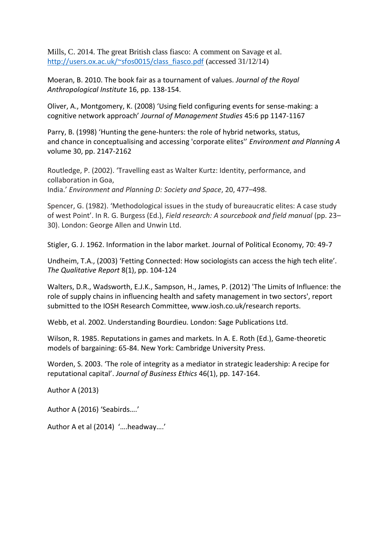Mills, C. 2014. The great British class fiasco: A comment on Savage et al. http://users.ox.ac.uk/~sfos0015/class\_fiasco.pdf (accessed 31/12/14)

Moeran, B. 2010. The book fair as a tournament of values. Journal of the Royal Anthropological Institute 16, pp. 138-154.

Oliver, A., Montgomery, K. (2008) 'Using field configuring events for sense-making: a cognitive network approach' Journal of Management Studies 45:6 pp 1147-1167

Parry, B. (1998) 'Hunting the gene-hunters: the role of hybrid networks, status, and chance in conceptualising and accessing 'corporate elites" Environment and Planning A volume 30, pp. 2147-2162

Routledge, P. (2002). 'Travelling east as Walter Kurtz: Identity, performance, and collaboration in Goa, India.' Environment and Planning D: Society and Space, 20, 477-498.

Spencer, G. (1982). 'Methodological issues in the study of bureaucratic elites: A case study of west Point'. In R. G. Burgess (Ed.), Field research: A sourcebook and field manual (pp. 23– 30). London: George Allen and Unwin Ltd.

Stigler, G. J. 1962. Information in the labor market. Journal of Political Economy, 70: 49-7

Undheim, T.A., (2003) 'Fetting Connected: How sociologists can access the high tech elite'. The Qualitative Report 8(1), pp. 104-124

Walters, D.R., Wadsworth, E.J.K., Sampson, H., James, P. (2012) 'The Limits of Influence: the role of supply chains in influencing health and safety management in two sectors', report submitted to the IOSH Research Committee, www.iosh.co.uk/research reports.

Webb, et al. 2002. Understanding Bourdieu. London: Sage Publications Ltd.

Wilson, R. 1985. Reputations in games and markets. In A. E. Roth (Ed.), Game-theoretic models of bargaining: 65-84. New York: Cambridge University Press.

Worden, S. 2003. 'The role of integrity as a mediator in strategic leadership: A recipe for reputational capital'. Journal of Business Ethics 46(1), pp. 147-164.

Author A (2013)

Author A (2016) 'Seabirds....'

Author A et al (2014) '....headway....'